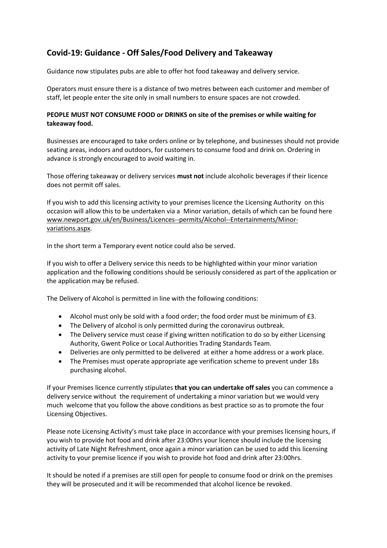## **Covid-19: Guidance - Off Sales/Food Delivery and Takeaway**

Guidance now stipulates pubs are able to offer hot food takeaway and delivery service.

Operators must ensure there is a distance of two metres between each customer and member of staff, let people enter the site only in small numbers to ensure spaces are not crowded.

## **PEOPLE MUST NOT CONSUME FOOD or DRINKS on site of the premises or while waiting for takeaway food.**

Businesses are encouraged to take orders online or by telephone, and businesses should not provide seating areas, indoors and outdoors, for customers to consume food and drink on. Ordering in advance is strongly encouraged to avoid waiting in.

Those offering takeaway or delivery services **must not** include alcoholic beverages if their licence does not permit off sales.

If you wish to add this licensing activity to your premises licence the Licensing Authority on this occasion will allow this to be undertaken via a Minor variation, details of which can be found here [www.newport.gov.uk/en/Business/Licences--permits/Alcohol--Entertainments/Minor](https://eur03.safelinks.protection.outlook.com/?url=http%3A%2F%2Fwww.newport.gov.uk%2Fen%2FBusiness%2FLicences--permits%2FAlcohol--Entertainments%2FMinor-variations.aspx&data=02%7C01%7CJessica.Price%40newport.gov.uk%7Cf121bb9fb5bd4a180d0708d7d713b4e5%7C2c4d0079c52c4bb3b3cad8eaf1b6b7d5%7C0%7C0%7C637214351945722997&sdata=BQrhrX8M2eB%2BqC%2F0SseOLQdGDtrD8yFy1t0t76GjPrQ%3D&reserved=0)[variations.aspx.](https://eur03.safelinks.protection.outlook.com/?url=http%3A%2F%2Fwww.newport.gov.uk%2Fen%2FBusiness%2FLicences--permits%2FAlcohol--Entertainments%2FMinor-variations.aspx&data=02%7C01%7CJessica.Price%40newport.gov.uk%7Cf121bb9fb5bd4a180d0708d7d713b4e5%7C2c4d0079c52c4bb3b3cad8eaf1b6b7d5%7C0%7C0%7C637214351945722997&sdata=BQrhrX8M2eB%2BqC%2F0SseOLQdGDtrD8yFy1t0t76GjPrQ%3D&reserved=0)

In the short term a Temporary event notice could also be served.

If you wish to offer a Delivery service this needs to be highlighted within your minor variation application and the following conditions should be seriously considered as part of the application or the application may be refused.

The Delivery of Alcohol is permitted in line with the following conditions:

- Alcohol must only be sold with a food order; the food order must be minimum of £3.
- The Delivery of alcohol is only permitted during the coronavirus outbreak.
- The Delivery service must cease if giving written notification to do so by either Licensing Authority, Gwent Police or Local Authorities Trading Standards Team.
- Deliveries are only permitted to be delivered at either a home address or a work place.
- The Premises must operate appropriate age verification scheme to prevent under 18s purchasing alcohol.

If your Premises licence currently stipulates **that you can undertake off sales** you can commence a delivery service without the requirement of undertaking a minor variation but we would very much welcome that you follow the above conditions as best practice so as to promote the four Licensing Objectives.

Please note Licensing Activity's must take place in accordance with your premises licensing hours, if you wish to provide hot food and drink after 23:00hrs your licence should include the licensing activity of Late Night Refreshment, once again a minor variation can be used to add this licensing activity to your premise licence if you wish to provide hot food and drink after 23:00hrs.

It should be noted if a premises are still open for people to consume food or drink on the premises they will be prosecuted and it will be recommended that alcohol licence be revoked.